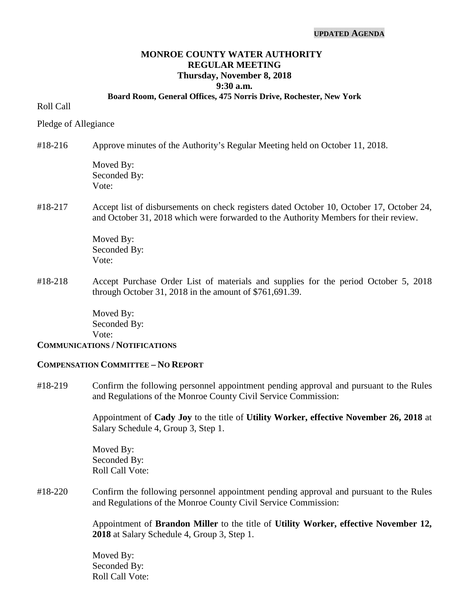#### **UPDATED AGENDA**

# **MONROE COUNTY WATER AUTHORITY REGULAR MEETING Thursday, November 8, 2018 9:30 a.m.**

#### **Board Room, General Offices, 475 Norris Drive, Rochester, New York**

#### Roll Call

Pledge of Allegiance

### #18-216 Approve minutes of the Authority's Regular Meeting held on October 11, 2018.

Moved By: Seconded By: Vote:

# #18-217 Accept list of disbursements on check registers dated October 10, October 17, October 24, and October 31, 2018 which were forwarded to the Authority Members for their review.

Moved By: Seconded By: Vote:

#18-218 Accept Purchase Order List of materials and supplies for the period October 5, 2018 through October 31, 2018 in the amount of \$761,691.39.

> Moved By: Seconded By: Vote:

#### **COMMUNICATIONS / NOTIFICATIONS**

#### **COMPENSATION COMMITTEE – NO REPORT**

#18-219 Confirm the following personnel appointment pending approval and pursuant to the Rules and Regulations of the Monroe County Civil Service Commission:

> Appointment of **Cady Joy** to the title of **Utility Worker, effective November 26, 2018** at Salary Schedule 4, Group 3, Step 1.

Moved By: Seconded By: Roll Call Vote:

#18-220 Confirm the following personnel appointment pending approval and pursuant to the Rules and Regulations of the Monroe County Civil Service Commission:

> Appointment of **Brandon Miller** to the title of **Utility Worker, effective November 12, 2018** at Salary Schedule 4, Group 3, Step 1.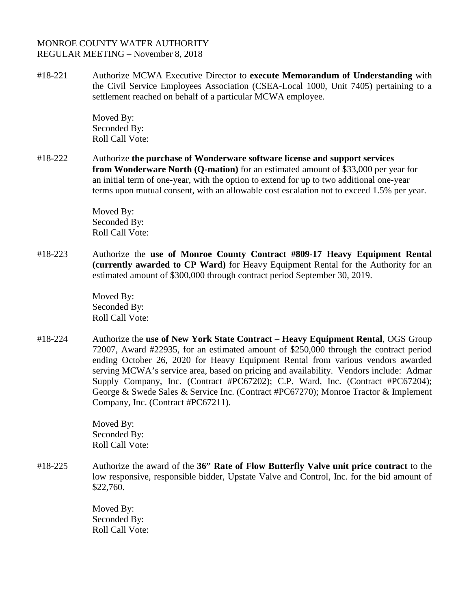#18-221 Authorize MCWA Executive Director to **execute Memorandum of Understanding** with the Civil Service Employees Association (CSEA-Local 1000, Unit 7405) pertaining to a settlement reached on behalf of a particular MCWA employee.

> Moved By: Seconded By: Roll Call Vote:

#18-222 Authorize **the purchase of Wonderware software license and support services from Wonderware North (Q-mation)** for an estimated amount of \$33,000 per year for an initial term of one-year, with the option to extend for up to two additional one-year terms upon mutual consent, with an allowable cost escalation not to exceed 1.5% per year.

> Moved By: Seconded By: Roll Call Vote:

#18-223 Authorize the **use of Monroe County Contract #809-17 Heavy Equipment Rental (currently awarded to CP Ward)** for Heavy Equipment Rental for the Authority for an estimated amount of \$300,000 through contract period September 30, 2019.

> Moved By: Seconded By: Roll Call Vote:

#18-224 Authorize the **use of New York State Contract – Heavy Equipment Rental**, OGS Group 72007, Award #22935, for an estimated amount of \$250,000 through the contract period ending October 26, 2020 for Heavy Equipment Rental from various vendors awarded serving MCWA's service area, based on pricing and availability. Vendors include: Admar Supply Company, Inc. (Contract #PC67202); C.P. Ward, Inc. (Contract #PC67204); George & Swede Sales & Service Inc. (Contract #PC67270); Monroe Tractor & Implement Company, Inc. (Contract #PC67211).

> Moved By: Seconded By: Roll Call Vote:

#18-225 Authorize the award of the **36" Rate of Flow Butterfly Valve unit price contract** to the low responsive, responsible bidder, Upstate Valve and Control, Inc. for the bid amount of \$22,760.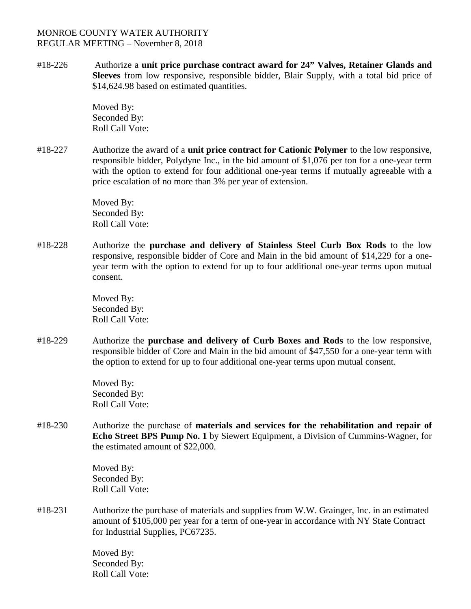#18-226 Authorize a **unit price purchase contract award for 24" Valves, Retainer Glands and Sleeves** from low responsive, responsible bidder, Blair Supply, with a total bid price of \$14,624.98 based on estimated quantities.

> Moved By: Seconded By: Roll Call Vote:

#18-227 Authorize the award of a **unit price contract for Cationic Polymer** to the low responsive, responsible bidder, Polydyne Inc., in the bid amount of \$1,076 per ton for a one-year term with the option to extend for four additional one-year terms if mutually agreeable with a price escalation of no more than 3% per year of extension.

> Moved By: Seconded By: Roll Call Vote:

#18-228 Authorize the **purchase and delivery of Stainless Steel Curb Box Rods** to the low responsive, responsible bidder of Core and Main in the bid amount of \$14,229 for a oneyear term with the option to extend for up to four additional one-year terms upon mutual consent.

> Moved By: Seconded By: Roll Call Vote:

#18-229 Authorize the **purchase and delivery of Curb Boxes and Rods** to the low responsive, responsible bidder of Core and Main in the bid amount of \$47,550 for a one-year term with the option to extend for up to four additional one-year terms upon mutual consent.

> Moved By: Seconded By: Roll Call Vote:

#18-230 Authorize the purchase of **materials and services for the rehabilitation and repair of Echo Street BPS Pump No. 1** by Siewert Equipment, a Division of Cummins-Wagner, for the estimated amount of \$22,000.

> Moved By: Seconded By: Roll Call Vote:

#18-231 Authorize the purchase of materials and supplies from W.W. Grainger, Inc. in an estimated amount of \$105,000 per year for a term of one-year in accordance with NY State Contract for Industrial Supplies, PC67235.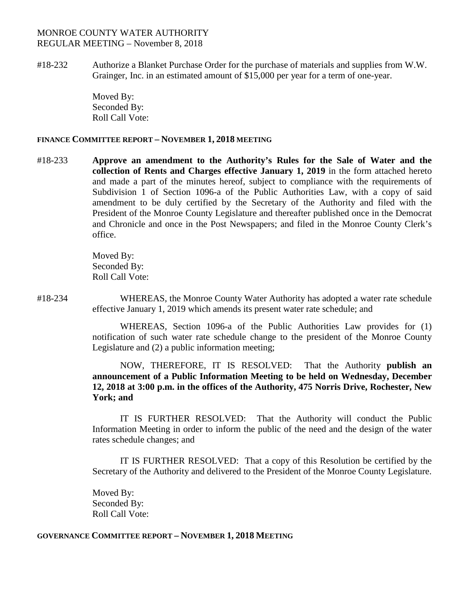#18-232 Authorize a Blanket Purchase Order for the purchase of materials and supplies from W.W. Grainger, Inc. in an estimated amount of \$15,000 per year for a term of one-year.

> Moved By: Seconded By: Roll Call Vote:

### **FINANCE COMMITTEE REPORT – NOVEMBER 1, 2018 MEETING**

#18-233 **Approve an amendment to the Authority's Rules for the Sale of Water and the collection of Rents and Charges effective January 1, 2019** in the form attached hereto and made a part of the minutes hereof, subject to compliance with the requirements of Subdivision 1 of Section 1096-a of the Public Authorities Law, with a copy of said amendment to be duly certified by the Secretary of the Authority and filed with the President of the Monroe County Legislature and thereafter published once in the Democrat and Chronicle and once in the Post Newspapers; and filed in the Monroe County Clerk's office.

> Moved By: Seconded By: Roll Call Vote:

#18-234 WHEREAS, the Monroe County Water Authority has adopted a water rate schedule effective January 1, 2019 which amends its present water rate schedule; and

> WHEREAS, Section 1096-a of the Public Authorities Law provides for (1) notification of such water rate schedule change to the president of the Monroe County Legislature and (2) a public information meeting;

> NOW, THEREFORE, IT IS RESOLVED: That the Authority **publish an announcement of a Public Information Meeting to be held on Wednesday, December 12, 2018 at 3:00 p.m. in the offices of the Authority, 475 Norris Drive, Rochester, New York; and**

> IT IS FURTHER RESOLVED: That the Authority will conduct the Public Information Meeting in order to inform the public of the need and the design of the water rates schedule changes; and

> IT IS FURTHER RESOLVED: That a copy of this Resolution be certified by the Secretary of the Authority and delivered to the President of the Monroe County Legislature.

Moved By: Seconded By: Roll Call Vote:

### **GOVERNANCE COMMITTEE REPORT – NOVEMBER 1, 2018 MEETING**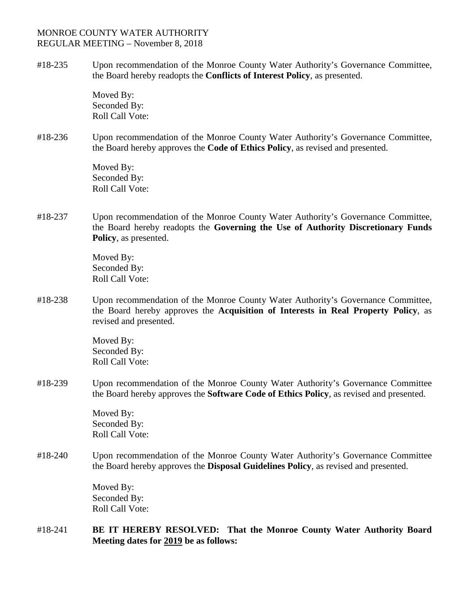#18-235 Upon recommendation of the Monroe County Water Authority's Governance Committee, the Board hereby readopts the **Conflicts of Interest Policy**, as presented.

> Moved By: Seconded By: Roll Call Vote:

#18-236 Upon recommendation of the Monroe County Water Authority's Governance Committee, the Board hereby approves the **Code of Ethics Policy**, as revised and presented.

> Moved By: Seconded By: Roll Call Vote:

#18-237 Upon recommendation of the Monroe County Water Authority's Governance Committee, the Board hereby readopts the **Governing the Use of Authority Discretionary Funds Policy**, as presented.

> Moved By: Seconded By: Roll Call Vote:

#18-238 Upon recommendation of the Monroe County Water Authority's Governance Committee, the Board hereby approves the **Acquisition of Interests in Real Property Policy**, as revised and presented.

> Moved By: Seconded By: Roll Call Vote:

#18-239 Upon recommendation of the Monroe County Water Authority's Governance Committee the Board hereby approves the **Software Code of Ethics Policy**, as revised and presented.

> Moved By: Seconded By: Roll Call Vote:

#18-240 Upon recommendation of the Monroe County Water Authority's Governance Committee the Board hereby approves the **Disposal Guidelines Policy**, as revised and presented.

> Moved By: Seconded By: Roll Call Vote:

#18-241 **BE IT HEREBY RESOLVED: That the Monroe County Water Authority Board Meeting dates for 2019 be as follows:**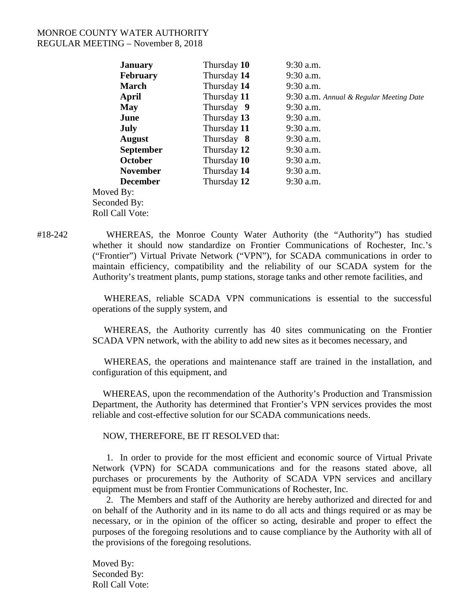| <b>January</b>                         | Thursday 10 | 9:30 a.m.                               |
|----------------------------------------|-------------|-----------------------------------------|
| <b>February</b>                        | Thursday 14 | $9:30$ a.m.                             |
| <b>March</b>                           | Thursday 14 | $9:30$ a.m.                             |
| April                                  | Thursday 11 | 9:30 a.m. Annual & Regular Meeting Date |
| May                                    | Thursday 9  | $9:30$ a.m.                             |
| June                                   | Thursday 13 | $9:30$ a.m.                             |
| July                                   | Thursday 11 | $9:30$ a.m.                             |
| <b>August</b>                          | Thursday 8  | $9:30$ a.m.                             |
| <b>September</b>                       | Thursday 12 | $9:30$ a.m.                             |
| October                                | Thursday 10 | $9:30$ a.m.                             |
| <b>November</b>                        | Thursday 14 | $9:30$ a.m.                             |
| <b>December</b>                        | Thursday 12 | $9:30$ a.m.                             |
| Moved By:                              |             |                                         |
| $\mathcal{C}_{\text{sham}}$ de de Deur |             |                                         |

Seconded By: Roll Call Vote:

#18-242 WHEREAS, the Monroe County Water Authority (the "Authority") has studied whether it should now standardize on Frontier Communications of Rochester, Inc.'s ("Frontier") Virtual Private Network ("VPN"), for SCADA communications in order to maintain efficiency, compatibility and the reliability of our SCADA system for the Authority's treatment plants, pump stations, storage tanks and other remote facilities, and

> WHEREAS, reliable SCADA VPN communications is essential to the successful operations of the supply system, and

> WHEREAS, the Authority currently has 40 sites communicating on the Frontier SCADA VPN network, with the ability to add new sites as it becomes necessary, and

> WHEREAS, the operations and maintenance staff are trained in the installation, and configuration of this equipment, and

> WHEREAS, upon the recommendation of the Authority's Production and Transmission Department, the Authority has determined that Frontier's VPN services provides the most reliable and cost-effective solution for our SCADA communications needs.

NOW, THEREFORE, BE IT RESOLVED that:

1. In order to provide for the most efficient and economic source of Virtual Private Network (VPN) for SCADA communications and for the reasons stated above, all purchases or procurements by the Authority of SCADA VPN services and ancillary equipment must be from Frontier Communications of Rochester, Inc.

2. The Members and staff of the Authority are hereby authorized and directed for and on behalf of the Authority and in its name to do all acts and things required or as may be necessary, or in the opinion of the officer so acting, desirable and proper to effect the purposes of the foregoing resolutions and to cause compliance by the Authority with all of the provisions of the foregoing resolutions.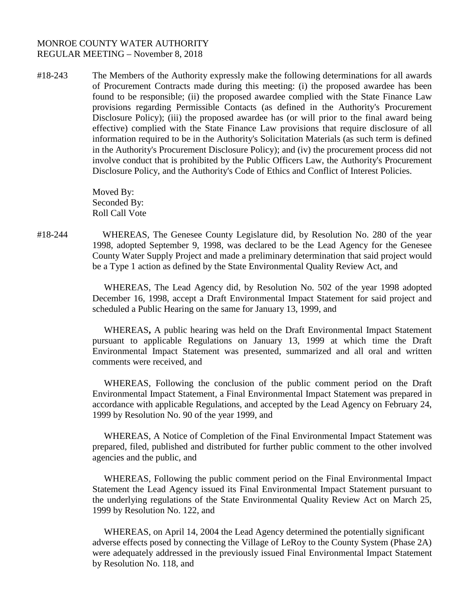#18-243 The Members of the Authority expressly make the following determinations for all awards of Procurement Contracts made during this meeting: (i) the proposed awardee has been found to be responsible; (ii) the proposed awardee complied with the State Finance Law provisions regarding Permissible Contacts (as defined in the Authority's Procurement Disclosure Policy); (iii) the proposed awardee has (or will prior to the final award being effective) complied with the State Finance Law provisions that require disclosure of all information required to be in the Authority's Solicitation Materials (as such term is defined in the Authority's Procurement Disclosure Policy); and (iv) the procurement process did not involve conduct that is prohibited by the Public Officers Law, the Authority's Procurement Disclosure Policy, and the Authority's Code of Ethics and Conflict of Interest Policies.

> Moved By: Seconded By: Roll Call Vote

#18-244WHEREAS, The Genesee County Legislature did, by Resolution No. 280 of the year 1998, adopted September 9, 1998, was declared to be the Lead Agency for the Genesee County Water Supply Project and made a preliminary determination that said project would be a Type 1 action as defined by the State Environmental Quality Review Act, and

> WHEREAS, The Lead Agency did, by Resolution No. 502 of the year 1998 adopted December 16, 1998, accept a Draft Environmental Impact Statement for said project and scheduled a Public Hearing on the same for January 13, 1999, and

> WHEREAS**,** A public hearing was held on the Draft Environmental Impact Statement pursuant to applicable Regulations on January 13, 1999 at which time the Draft Environmental Impact Statement was presented, summarized and all oral and written comments were received, and

> WHEREAS, Following the conclusion of the public comment period on the Draft Environmental Impact Statement, a Final Environmental Impact Statement was prepared in accordance with applicable Regulations, and accepted by the Lead Agency on February 24, 1999 by Resolution No. 90 of the year 1999, and

> WHEREAS, A Notice of Completion of the Final Environmental Impact Statement was prepared, filed, published and distributed for further public comment to the other involved agencies and the public, and

> WHEREAS, Following the public comment period on the Final Environmental Impact Statement the Lead Agency issued its Final Environmental Impact Statement pursuant to the underlying regulations of the State Environmental Quality Review Act on March 25, 1999 by Resolution No. 122, and

> WHEREAS, on April 14, 2004 the Lead Agency determined the potentially significant adverse effects posed by connecting the Village of LeRoy to the County System (Phase 2A) were adequately addressed in the previously issued Final Environmental Impact Statement by Resolution No. 118, and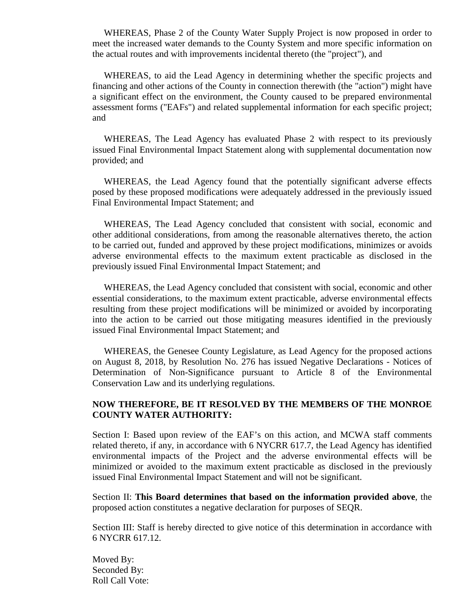WHEREAS, Phase 2 of the County Water Supply Project is now proposed in order to meet the increased water demands to the County System and more specific information on the actual routes and with improvements incidental thereto (the "project"), and

WHEREAS, to aid the Lead Agency in determining whether the specific projects and financing and other actions of the County in connection therewith (the "action") might have a significant effect on the environment, the County caused to be prepared environmental assessment forms ("EAFs") and related supplemental information for each specific project; and

WHEREAS, The Lead Agency has evaluated Phase 2 with respect to its previously issued Final Environmental Impact Statement along with supplemental documentation now provided; and

WHEREAS, the Lead Agency found that the potentially significant adverse effects posed by these proposed modifications were adequately addressed in the previously issued Final Environmental Impact Statement; and

WHEREAS, The Lead Agency concluded that consistent with social, economic and other additional considerations, from among the reasonable alternatives thereto, the action to be carried out, funded and approved by these project modifications, minimizes or avoids adverse environmental effects to the maximum extent practicable as disclosed in the previously issued Final Environmental Impact Statement; and

WHEREAS, the Lead Agency concluded that consistent with social, economic and other essential considerations, to the maximum extent practicable, adverse environmental effects resulting from these project modifications will be minimized or avoided by incorporating into the action to be carried out those mitigating measures identified in the previously issued Final Environmental Impact Statement; and

WHEREAS, the Genesee County Legislature, as Lead Agency for the proposed actions on August 8, 2018, by Resolution No. 276 has issued Negative Declarations - Notices of Determination of Non-Significance pursuant to Article 8 of the Environmental Conservation Law and its underlying regulations.

## **NOW THEREFORE, BE IT RESOLVED BY THE MEMBERS OF THE MONROE COUNTY WATER AUTHORITY:**

Section I: Based upon review of the EAF's on this action, and MCWA staff comments related thereto, if any, in accordance with 6 NYCRR 617.7, the Lead Agency has identified environmental impacts of the Project and the adverse environmental effects will be minimized or avoided to the maximum extent practicable as disclosed in the previously issued Final Environmental Impact Statement and will not be significant.

Section II: **This Board determines that based on the information provided above**, the proposed action constitutes a negative declaration for purposes of SEQR.

Section III: Staff is hereby directed to give notice of this determination in accordance with 6 NYCRR 617.12.